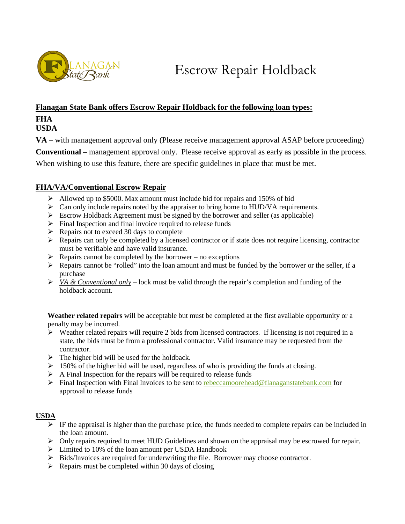

Escrow Repair Holdback

### **Flanagan State Bank offers Escrow Repair Holdback for the following loan types:**

# **FHA**

## **USDA**

**VA** – with management approval only (Please receive management approval ASAP before proceeding) **Conventional** – management approval only. Please receive approval as early as possible in the process. When wishing to use this feature, there are specific guidelines in place that must be met.

# **FHA/VA/Conventional Escrow Repair**

- $\triangleright$  Allowed up to \$5000. Max amount must include bid for repairs and 150% of bid
- $\triangleright$  Can only include repairs noted by the appraiser to bring home to HUD/VA requirements.
- $\triangleright$  Escrow Holdback Agreement must be signed by the borrower and seller (as applicable)
- $\triangleright$  Final Inspection and final invoice required to release funds
- $\triangleright$  Repairs not to exceed 30 days to complete
- $\triangleright$  Repairs can only be completed by a licensed contractor or if state does not require licensing, contractor must be verifiable and have valid insurance.
- $\triangleright$  Repairs cannot be completed by the borrower no exceptions
- $\triangleright$  Repairs cannot be "rolled" into the loan amount and must be funded by the borrower or the seller, if a purchase
- $\triangleright$  *VA & Conventional only* lock must be valid through the repair's completion and funding of the holdback account.

**Weather related repairs** will be acceptable but must be completed at the first available opportunity or a penalty may be incurred.

- $\triangleright$  Weather related repairs will require 2 bids from licensed contractors. If licensing is not required in a state, the bids must be from a professional contractor. Valid insurance may be requested from the contractor.
- $\triangleright$  The higher bid will be used for the holdback.
- $\geq 150\%$  of the higher bid will be used, regardless of who is providing the funds at closing.
- $\triangleright$  A Final Inspection for the repairs will be required to release funds
- $\triangleright$  Final Inspection with Final Invoices to be sent to [rebeccamoorehead@flanaganstatebank.com](mailto:rebeccamoorehead@flanaganstatebank.com) for approval to release funds

### **USDA**

- $\triangleright$  IF the appraisal is higher than the purchase price, the funds needed to complete repairs can be included in the loan amount.
- $\triangleright$  Only repairs required to meet HUD Guidelines and shown on the appraisal may be escrowed for repair.
- $\triangleright$  Limited to 10% of the loan amount per USDA Handbook
- > Bids/Invoices are required for underwriting the file. Borrower may choose contractor.
- $\triangleright$  Repairs must be completed within 30 days of closing